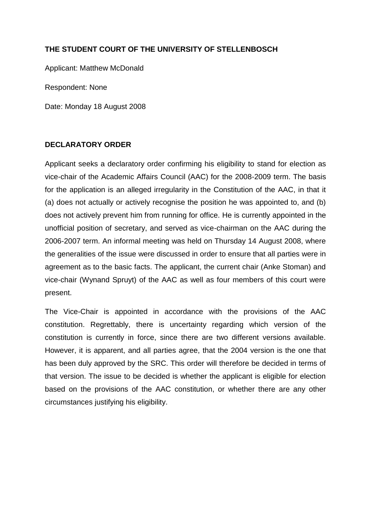## **THE STUDENT COURT OF THE UNIVERSITY OF STELLENBOSCH**

Applicant: Matthew McDonald

Respondent: None

Date: Monday 18 August 2008

## **DECLARATORY ORDER**

Applicant seeks a declaratory order confirming his eligibility to stand for election as vice-chair of the Academic Affairs Council (AAC) for the 2008-2009 term. The basis for the application is an alleged irregularity in the Constitution of the AAC, in that it (a) does not actually or actively recognise the position he was appointed to, and (b) does not actively prevent him from running for office. He is currently appointed in the unofficial position of secretary, and served as vice-chairman on the AAC during the 2006-2007 term. An informal meeting was held on Thursday 14 August 2008, where the generalities of the issue were discussed in order to ensure that all parties were in agreement as to the basic facts. The applicant, the current chair (Anke Stoman) and vice-chair (Wynand Spruyt) of the AAC as well as four members of this court were present.

The Vice-Chair is appointed in accordance with the provisions of the AAC constitution. Regrettably, there is uncertainty regarding which version of the constitution is currently in force, since there are two different versions available. However, it is apparent, and all parties agree, that the 2004 version is the one that has been duly approved by the SRC. This order will therefore be decided in terms of that version. The issue to be decided is whether the applicant is eligible for election based on the provisions of the AAC constitution, or whether there are any other circumstances justifying his eligibility.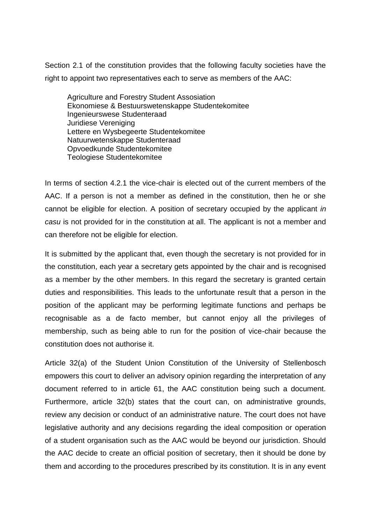Section 2.1 of the constitution provides that the following faculty societies have the right to appoint two representatives each to serve as members of the AAC:

Agriculture and Forestry Student Assosiation Ekonomiese & Bestuurswetenskappe Studentekomitee Ingenieurswese Studenteraad Juridiese Vereniging Lettere en Wysbegeerte Studentekomitee Natuurwetenskappe Studenteraad Opvoedkunde Studentekomitee Teologiese Studentekomitee

In terms of section 4.2.1 the vice-chair is elected out of the current members of the AAC. If a person is not a member as defined in the constitution, then he or she cannot be eligible for election. A position of secretary occupied by the applicant *in casu* is not provided for in the constitution at all. The applicant is not a member and can therefore not be eligible for election.

It is submitted by the applicant that, even though the secretary is not provided for in the constitution, each year a secretary gets appointed by the chair and is recognised as a member by the other members. In this regard the secretary is granted certain duties and responsibilities. This leads to the unfortunate result that a person in the position of the applicant may be performing legitimate functions and perhaps be recognisable as a de facto member, but cannot enjoy all the privileges of membership, such as being able to run for the position of vice-chair because the constitution does not authorise it.

Article 32(a) of the Student Union Constitution of the University of Stellenbosch empowers this court to deliver an advisory opinion regarding the interpretation of any document referred to in article 61, the AAC constitution being such a document. Furthermore, article 32(b) states that the court can, on administrative grounds, review any decision or conduct of an administrative nature. The court does not have legislative authority and any decisions regarding the ideal composition or operation of a student organisation such as the AAC would be beyond our jurisdiction. Should the AAC decide to create an official position of secretary, then it should be done by them and according to the procedures prescribed by its constitution. It is in any event